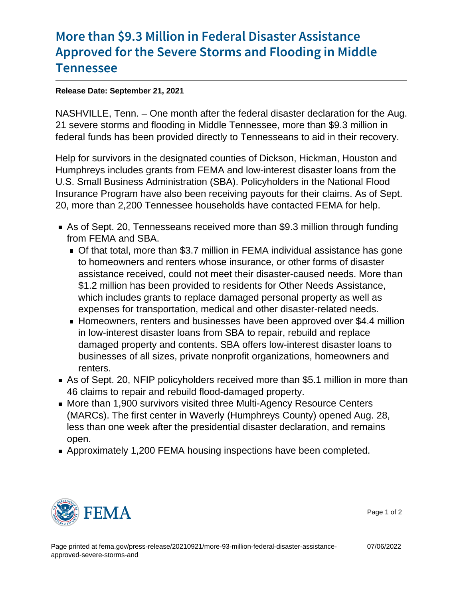## [More than \\$9.3 Million in Feder](https://www.fema.gov/press-release/20210921/more-93-million-federal-disaster-assistance-approved-severe-storms-and)al Disaste [Approved for the Severe Storms a](https://www.fema.gov/press-release/20210921/more-93-million-federal-disaster-assistance-approved-severe-storms-and)nd Flood [Tennes](https://www.fema.gov/press-release/20210921/more-93-million-federal-disaster-assistance-approved-severe-storms-and)see

## Release Date: September 21, 2021

NASHVILLE, Tenn. – One month after the federal disaster declaration for the Aug. 21 severe storms and flooding in Middle Tennessee, more than \$9.3 million in federal funds has been provided directly to Tennesseans to aid in their recovery.

Help for survivors in the designated counties of Dickson, Hickman, Houston and Humphreys includes grants from FEMA and low-interest disaster loans from the U.S. Small Business Administration (SBA). Policyholders in the National Flood Insurance Program have also been receiving payouts for their claims. As of Sept. 20, more than 2,200 Tennessee households have contacted FEMA for help.

- As of Sept. 20, Tennesseans received more than \$9.3 million through funding from FEMA and SBA.
	- Of that total, more than \$3.7 million in FEMA individual assistance has gone to homeowners and renters whose insurance, or other forms of disaster assistance received, could not meet their disaster-caused needs. More than \$1.2 million has been provided to residents for Other Needs Assistance, which includes grants to replace damaged personal property as well as expenses for transportation, medical and other disaster-related needs.
	- Homeowners, renters and businesses have been approved over \$4.4 million in low-interest disaster loans from SBA to repair, rebuild and replace damaged property and contents. SBA offers low-interest disaster loans to businesses of all sizes, private nonprofit organizations, homeowners and renters.
- As of Sept. 20, NFIP policyholders received more than \$5.1 million in more than 46 claims to repair and rebuild flood-damaged property.
- More than 1,900 survivors visited three Multi-Agency Resource Centers (MARCs). The first center in Waverly (Humphreys County) opened Aug. 28, less than one week after the presidential disaster declaration, and remains open.
- Approximately 1,200 FEMA housing inspections have been completed.



Page 1 of 2